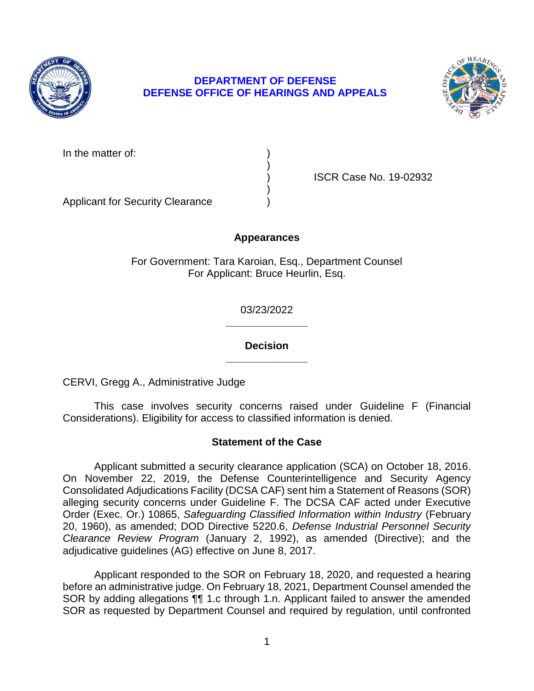

### **DEPARTMENT OF DEFENSE DEFENSE OFFICE OF HEARINGS AND APPEALS**



In the matter of:

) ISCR Case No. 19-02932

Applicant for Security Clearance )

# **Appearances**

)

)

For Government: Tara Karoian, Esq., Department Counsel For Applicant: Bruce Heurlin, Esq.

> **\_\_\_\_\_\_\_\_\_\_\_\_\_\_**  03/23/2022

> **\_\_\_\_\_\_\_\_\_\_\_\_\_\_ Decision**

CERVI, Gregg A., Administrative Judge

 This case involves security concerns raised under Guideline F (Financial Considerations). Eligibility for access to classified information is denied.

# **Statement of the Case**

 Applicant submitted a security clearance application (SCA) on October 18, 2016. On November 22, 2019, the Defense Counterintelligence and Security Agency Order (Exec. Or.) 10865, *Safeguarding Classified Information within Industry* (February *Clearance Review Program* (January 2, 1992), as amended (Directive); and the Consolidated Adjudications Facility (DCSA CAF) sent him a Statement of Reasons (SOR) alleging security concerns under Guideline F. The DCSA CAF acted under Executive 20, 1960), as amended; DOD Directive 5220.6, *Defense Industrial Personnel Security*  adjudicative guidelines (AG) effective on June 8, 2017.

 Applicant responded to the SOR on February 18, 2020, and requested a hearing before an administrative judge. On February 18, 2021, Department Counsel amended the SOR by adding allegations ¶¶ 1.c through 1.n. Applicant failed to answer the amended SOR as requested by Department Counsel and required by regulation, until confronted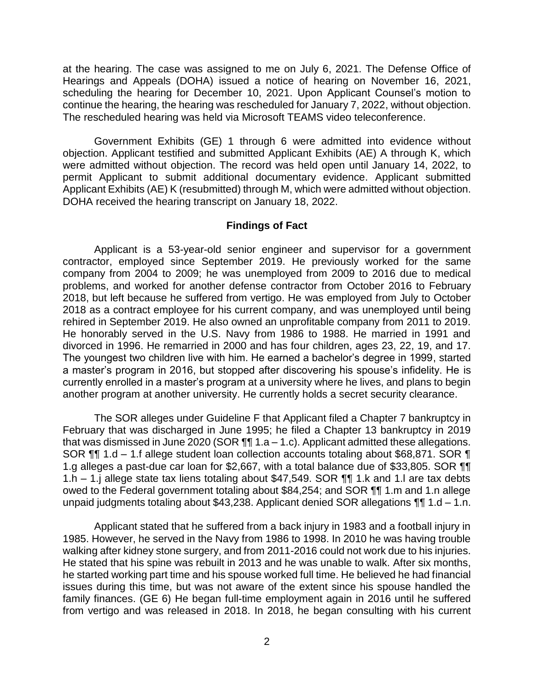at the hearing. The case was assigned to me on July 6, 2021. The Defense Office of Hearings and Appeals (DOHA) issued a notice of hearing on November 16, 2021, scheduling the hearing for December 10, 2021. Upon Applicant Counsel's motion to continue the hearing, the hearing was rescheduled for January 7, 2022, without objection. The rescheduled hearing was held via Microsoft TEAMS video teleconference.

 objection. Applicant testified and submitted Applicant Exhibits (AE) A through K, which were admitted without objection. The record was held open until January 14, 2022, to Government Exhibits (GE) 1 through 6 were admitted into evidence without permit Applicant to submit additional documentary evidence. Applicant submitted Applicant Exhibits (AE) K (resubmitted) through M, which were admitted without objection. DOHA received the hearing transcript on January 18, 2022.

### **Findings of Fact**

 contractor, employed since September 2019. He previously worked for the same company from 2004 to 2009; he was unemployed from 2009 to 2016 due to medical problems, and worked for another defense contractor from October 2016 to February 2018, but left because he suffered from vertigo. He was employed from July to October 2018 as a contract employee for his current company, and was unemployed until being rehired in September 2019. He also owned an unprofitable company from 2011 to 2019. He honorably served in the U.S. Navy from 1986 to 1988. He married in 1991 and divorced in 1996. He remarried in 2000 and has four children, ages 23, 22, 19, and 17. The youngest two children live with him. He earned a bachelor's degree in 1999, started a master's program in 2016, but stopped after discovering his spouse's infidelity. He is currently enrolled in a master's program at a university where he lives, and plans to begin Applicant is a 53-year-old senior engineer and supervisor for a government another program at another university. He currently holds a secret security clearance.

The SOR alleges under Guideline F that Applicant filed a Chapter 7 bankruptcy in February that was discharged in June 1995; he filed a Chapter 13 bankruptcy in 2019 that was dismissed in June 2020 (SOR  $\P\P$  1.a – 1.c). Applicant admitted these allegations. SOR ¶¶ 1.d – 1.f allege student loan collection accounts totaling about \$68,871. SOR ¶ 1.g alleges a past-due car loan for \$2,667, with a total balance due of \$33,805. SOR ¶¶ 1.h – 1.j allege state tax liens totaling about \$47,549. SOR  $\P\P$  1.k and 1.l are tax debts owed to the Federal government totaling about \$84,254; and SOR ¶¶ 1.m and 1.n allege unpaid judgments totaling about \$43,238. Applicant denied SOR allegations  $\P\P$  1.d – 1.n.

 Applicant stated that he suffered from a back injury in 1983 and a football injury in 1985. However, he served in the Navy from 1986 to 1998. In 2010 he was having trouble walking after kidney stone surgery, and from 2011-2016 could not work due to his injuries. He stated that his spine was rebuilt in 2013 and he was unable to walk. After six months, he started working part time and his spouse worked full time. He believed he had financial issues during this time, but was not aware of the extent since his spouse handled the family finances. (GE 6) He began full-time employment again in 2016 until he suffered from vertigo and was released in 2018. In 2018, he began consulting with his current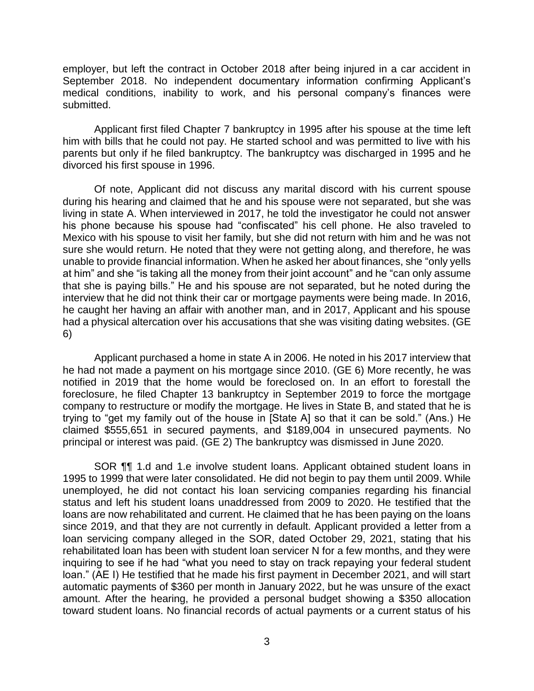employer, but left the contract in October 2018 after being injured in a car accident in September 2018. No independent documentary information confirming Applicant's medical conditions, inability to work, and his personal company's finances were submitted.

 Applicant first filed Chapter 7 bankruptcy in 1995 after his spouse at the time left him with bills that he could not pay. He started school and was permitted to live with his parents but only if he filed bankruptcy. The bankruptcy was discharged in 1995 and he divorced his first spouse in 1996.

 Of note, Applicant did not discuss any marital discord with his current spouse during his hearing and claimed that he and his spouse were not separated, but she was living in state A. When interviewed in 2017, he told the investigator he could not answer his phone because his spouse had "confiscated" his cell phone. He also traveled to sure she would return. He noted that they were not getting along, and therefore, he was unable to provide financial information. When he asked her about finances, she "only yells at him" and she "is taking all the money from their joint account" and he "can only assume that she is paying bills." He and his spouse are not separated, but he noted during the interview that he did not think their car or mortgage payments were being made. In 2016, he caught her having an affair with another man, and in 2017, Applicant and his spouse had a physical altercation over his accusations that she was visiting dating websites. (GE Mexico with his spouse to visit her family, but she did not return with him and he was not 6)

 Applicant purchased a home in state A in 2006. He noted in his 2017 interview that he had not made a payment on his mortgage since 2010. (GE 6) More recently, he was notified in 2019 that the home would be foreclosed on. In an effort to forestall the foreclosure, he filed Chapter 13 bankruptcy in September 2019 to force the mortgage trying to "get my family out of the house in [State A] so that it can be sold." (Ans.) He claimed \$555,651 in secured payments, and \$189,004 in unsecured payments. No company to restructure or modify the mortgage. He lives in State B, and stated that he is principal or interest was paid. (GE 2) The bankruptcy was dismissed in June 2020.

 SOR ¶¶ 1.d and 1.e involve student loans. Applicant obtained student loans in 1995 to 1999 that were later consolidated. He did not begin to pay them until 2009. While unemployed, he did not contact his loan servicing companies regarding his financial status and left his student loans unaddressed from 2009 to 2020. He testified that the loans are now rehabilitated and current. He claimed that he has been paying on the loans since 2019, and that they are not currently in default. Applicant provided a letter from a loan servicing company alleged in the SOR, dated October 29, 2021, stating that his rehabilitated loan has been with student loan servicer N for a few months, and they were inquiring to see if he had "what you need to stay on track repaying your federal student loan." (AE I) He testified that he made his first payment in December 2021, and will start automatic payments of \$360 per month in January 2022, but he was unsure of the exact amount. After the hearing, he provided a personal budget showing a \$350 allocation toward student loans. No financial records of actual payments or a current status of his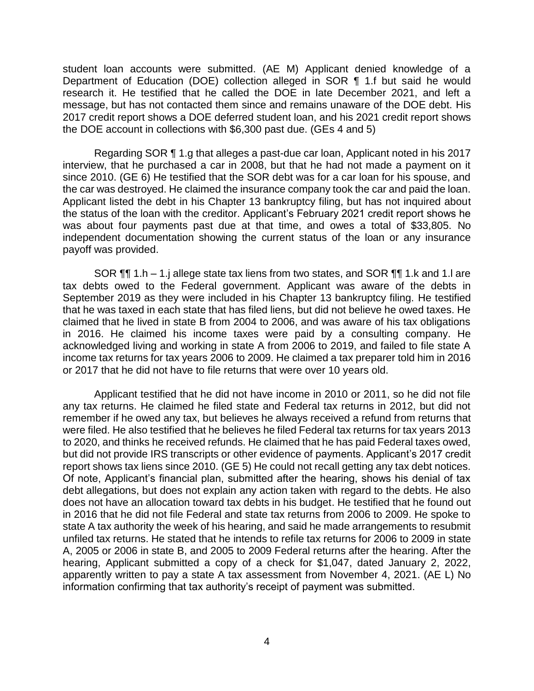student loan accounts were submitted. (AE M) Applicant denied knowledge of a Department of Education (DOE) collection alleged in SOR ¶ 1.f but said he would research it. He testified that he called the DOE in late December 2021, and left a message, but has not contacted them since and remains unaware of the DOE debt. His 2017 credit report shows a DOE deferred student loan, and his 2021 credit report shows the DOE account in collections with \$6,300 past due. (GEs 4 and 5)

 Regarding SOR ¶ 1.g that alleges a past-due car loan, Applicant noted in his 2017 interview, that he purchased a car in 2008, but that he had not made a payment on it since 2010. (GE 6) He testified that the SOR debt was for a car loan for his spouse, and the car was destroyed. He claimed the insurance company took the car and paid the loan. Applicant listed the debt in his Chapter 13 bankruptcy filing, but has not inquired about the status of the loan with the creditor. Applicant's February 2021 credit report shows he was about four payments past due at that time, and owes a total of \$33,805. No independent documentation showing the current status of the loan or any insurance payoff was provided.

 SOR ¶¶ 1.h – 1.j allege state tax liens from two states, and SOR ¶¶ 1.k and 1.l are tax debts owed to the Federal government. Applicant was aware of the debts in September 2019 as they were included in his Chapter 13 bankruptcy filing. He testified that he was taxed in each state that has filed liens, but did not believe he owed taxes. He claimed that he lived in state B from 2004 to 2006, and was aware of his tax obligations in 2016. He claimed his income taxes were paid by a consulting company. He acknowledged living and working in state A from 2006 to 2019, and failed to file state A income tax returns for tax years 2006 to 2009. He claimed a tax preparer told him in 2016 or 2017 that he did not have to file returns that were over 10 years old.

 Applicant testified that he did not have income in 2010 or 2011, so he did not file any tax returns. He claimed he filed state and Federal tax returns in 2012, but did not remember if he owed any tax, but believes he always received a refund from returns that were filed. He also testified that he believes he filed Federal tax returns for tax years 2013 to 2020, and thinks he received refunds. He claimed that he has paid Federal taxes owed, but did not provide IRS transcripts or other evidence of payments. Applicant's 2017 credit report shows tax liens since 2010. (GE 5) He could not recall getting any tax debt notices. Of note, Applicant's financial plan, submitted after the hearing, shows his denial of tax debt allegations, but does not explain any action taken with regard to the debts. He also does not have an allocation toward tax debts in his budget. He testified that he found out in 2016 that he did not file Federal and state tax returns from 2006 to 2009. He spoke to state A tax authority the week of his hearing, and said he made arrangements to resubmit unfiled tax returns. He stated that he intends to refile tax returns for 2006 to 2009 in state A, 2005 or 2006 in state B, and 2005 to 2009 Federal returns after the hearing. After the hearing, Applicant submitted a copy of a check for \$1,047, dated January 2, 2022, apparently written to pay a state A tax assessment from November 4, 2021. (AE L) No information confirming that tax authority's receipt of payment was submitted.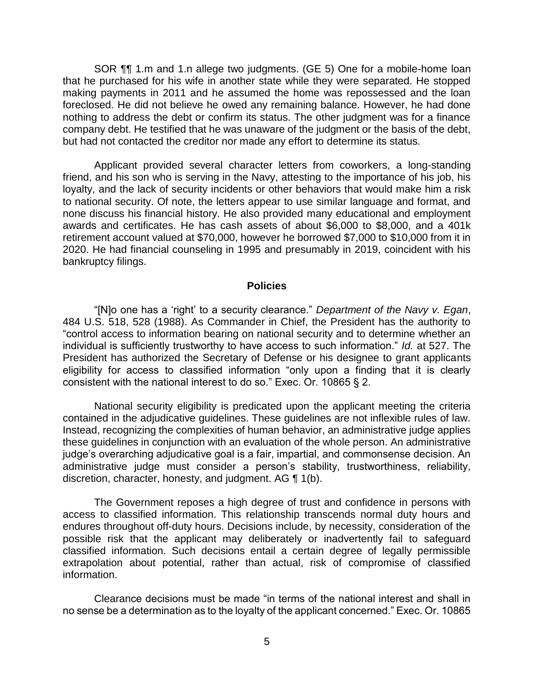SOR ¶¶ 1.m and 1.n allege two judgments. (GE 5) One for a mobile-home loan that he purchased for his wife in another state while they were separated. He stopped making payments in 2011 and he assumed the home was repossessed and the loan foreclosed. He did not believe he owed any remaining balance. However, he had done nothing to address the debt or confirm its status. The other judgment was for a finance company debt. He testified that he was unaware of the judgment or the basis of the debt, but had not contacted the creditor nor made any effort to determine its status.

 friend, and his son who is serving in the Navy, attesting to the importance of his job, his loyalty, and the lack of security incidents or other behaviors that would make him a risk to national security. Of note, the letters appear to use similar language and format, and awards and certificates. He has cash assets of about \$6,000 to \$8,000, and a 401k retirement account valued at \$70,000, however he borrowed \$7,000 to \$10,000 from it in 2020. He had financial counseling in 1995 and presumably in 2019, coincident with his Applicant provided several character letters from coworkers, a long-standing none discuss his financial history. He also provided many educational and employment bankruptcy filings.

#### **Policies**

 "[N]o one has a 'right' to a security clearance." *Department of the Navy v. Egan*, 484 U.S. 518, 528 (1988). As Commander in Chief, the President has the authority to "control access to information bearing on national security and to determine whether an individual is sufficiently trustworthy to have access to such information." *Id.* at 527. The President has authorized the Secretary of Defense or his designee to grant applicants eligibility for access to classified information "only upon a finding that it is clearly consistent with the national interest to do so." Exec. Or. 10865 § 2.

 National security eligibility is predicated upon the applicant meeting the criteria contained in the adjudicative guidelines. These guidelines are not inflexible rules of law. Instead, recognizing the complexities of human behavior, an administrative judge applies these guidelines in conjunction with an evaluation of the whole person. An administrative administrative judge must consider a person's stability, trustworthiness, reliability, discretion, character, honesty, and judgment. AG ¶ 1(b). judge's overarching adjudicative goal is a fair, impartial, and commonsense decision. An

 The Government reposes a high degree of trust and confidence in persons with access to classified information. This relationship transcends normal duty hours and endures throughout off-duty hours. Decisions include, by necessity, consideration of the possible risk that the applicant may deliberately or inadvertently fail to safeguard classified information. Such decisions entail a certain degree of legally permissible extrapolation about potential, rather than actual, risk of compromise of classified information.

 Clearance decisions must be made "in terms of the national interest and shall in no sense be a determination as to the loyalty of the applicant concerned." Exec. Or. 10865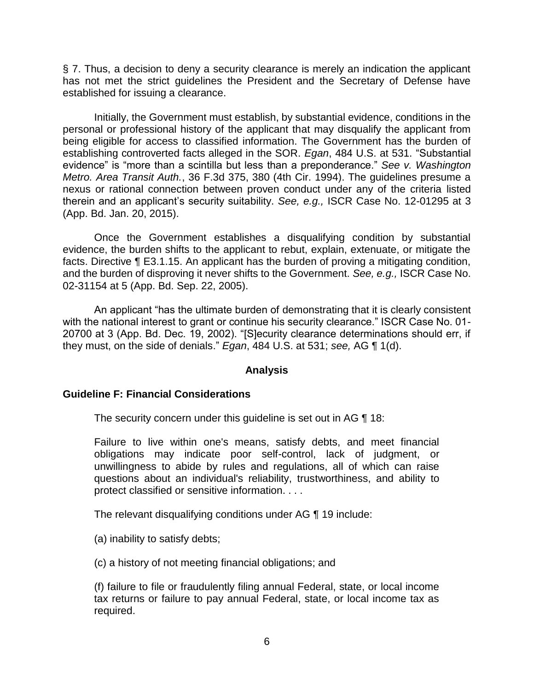§ 7. Thus, a decision to deny a security clearance is merely an indication the applicant has not met the strict guidelines the President and the Secretary of Defense have established for issuing a clearance.

 Initially, the Government must establish, by substantial evidence, conditions in the personal or professional history of the applicant that may disqualify the applicant from being eligible for access to classified information. The Government has the burden of establishing controverted facts alleged in the SOR. *Egan*, 484 U.S. at 531. "Substantial evidence" is "more than a scintilla but less than a preponderance." *See v. Washington Metro. Area Transit Auth.*, 36 F.3d 375, 380 (4th Cir. 1994). The guidelines presume a nexus or rational connection between proven conduct under any of the criteria listed therein and an applicant's security suitability. *See, e.g.,* ISCR Case No. 12-01295 at 3 (App. Bd. Jan. 20, 2015).

 Once the Government establishes a disqualifying condition by substantial evidence, the burden shifts to the applicant to rebut, explain, extenuate, or mitigate the facts. Directive ¶ E3.1.15. An applicant has the burden of proving a mitigating condition, and the burden of disproving it never shifts to the Government. *See, e.g.,* ISCR Case No. 02-31154 at 5 (App. Bd. Sep. 22, 2005).

An applicant "has the ultimate burden of demonstrating that it is clearly consistent with the national interest to grant or continue his security clearance." ISCR Case No. 01- 20700 at 3 (App. Bd. Dec. 19, 2002). "[S]ecurity clearance determinations should err, if they must, on the side of denials." *Egan*, 484 U.S. at 531; *see,* AG ¶ 1(d).

### **Analysis**

### **Guideline F: Financial Considerations**

The security concern under this guideline is set out in AG ¶ 18:

 Failure to live within one's means, satisfy debts, and meet financial obligations may indicate poor self-control, lack of judgment, or unwillingness to abide by rules and regulations, all of which can raise questions about an individual's reliability, trustworthiness, and ability to protect classified or sensitive information. . . .

The relevant disqualifying conditions under AG ¶ 19 include:

- (a) inability to satisfy debts;
- (c) a history of not meeting financial obligations; and

(f) failure to file or fraudulently filing annual Federal, state, or local income tax returns or failure to pay annual Federal, state, or local income tax as required.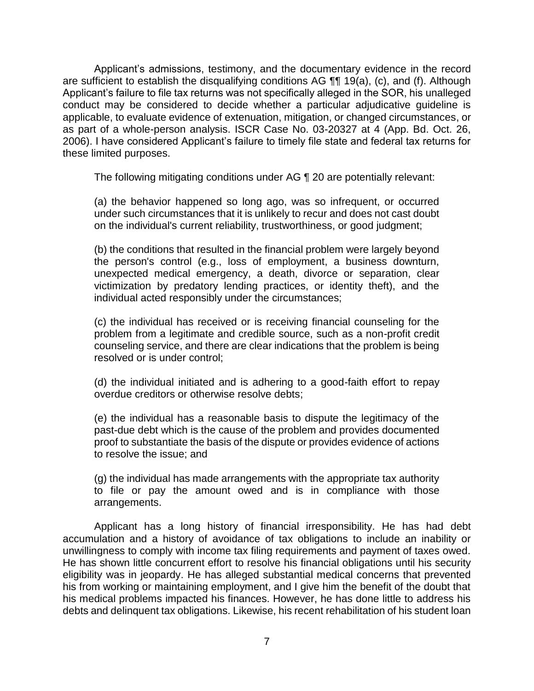Applicant's admissions, testimony, and the documentary evidence in the record are sufficient to establish the disqualifying conditions AG ¶¶ 19(a), (c), and (f). Although Applicant's failure to file tax returns was not specifically alleged in the SOR, his unalleged conduct may be considered to decide whether a particular adjudicative guideline is applicable, to evaluate evidence of extenuation, mitigation, or changed circumstances, or as part of a whole-person analysis. ISCR Case No. 03-20327 at 4 (App. Bd. Oct. 26, 2006). I have considered Applicant's failure to timely file state and federal tax returns for these limited purposes.

The following mitigating conditions under AG ¶ 20 are potentially relevant:

(a) the behavior happened so long ago, was so infrequent, or occurred under such circumstances that it is unlikely to recur and does not cast doubt on the individual's current reliability, trustworthiness, or good judgment;

(b) the conditions that resulted in the financial problem were largely beyond the person's control (e.g., loss of employment, a business downturn, unexpected medical emergency, a death, divorce or separation, clear victimization by predatory lending practices, or identity theft), and the individual acted responsibly under the circumstances;

(c) the individual has received or is receiving financial counseling for the problem from a legitimate and credible source, such as a non-profit credit counseling service, and there are clear indications that the problem is being resolved or is under control;

(d) the individual initiated and is adhering to a good-faith effort to repay overdue creditors or otherwise resolve debts;

(e) the individual has a reasonable basis to dispute the legitimacy of the past-due debt which is the cause of the problem and provides documented proof to substantiate the basis of the dispute or provides evidence of actions to resolve the issue; and

(g) the individual has made arrangements with the appropriate tax authority to file or pay the amount owed and is in compliance with those arrangements.

 Applicant has a long history of financial irresponsibility. He has had debt accumulation and a history of avoidance of tax obligations to include an inability or unwillingness to comply with income tax filing requirements and payment of taxes owed. his from working or maintaining employment, and I give him the benefit of the doubt that his medical problems impacted his finances. However, he has done little to address his debts and delinquent tax obligations. Likewise, his recent rehabilitation of his student loan He has shown little concurrent effort to resolve his financial obligations until his security eligibility was in jeopardy. He has alleged substantial medical concerns that prevented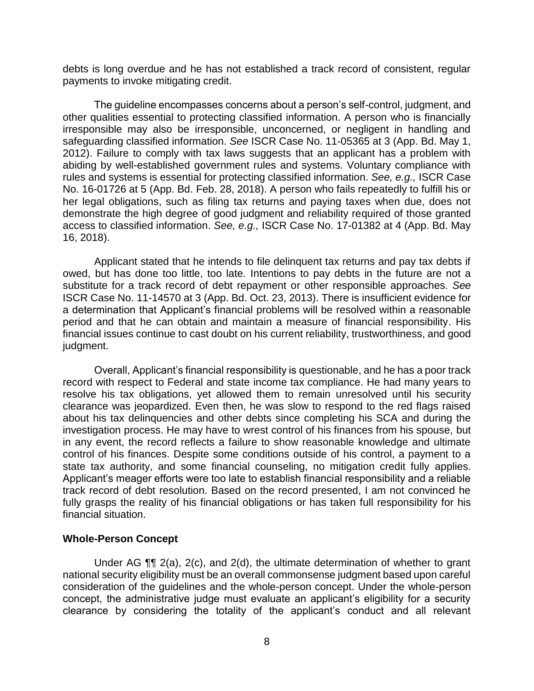debts is long overdue and he has not established a track record of consistent, regular payments to invoke mitigating credit.

 The guideline encompasses concerns about a person's self-control, judgment, and other qualities essential to protecting classified information. A person who is financially irresponsible may also be irresponsible, unconcerned, or negligent in handling and 2012). Failure to comply with tax laws suggests that an applicant has a problem with abiding by well-established government rules and systems. Voluntary compliance with rules and systems is essential for protecting classified information. *See, e.g.,* ISCR Case No. 16-01726 at 5 (App. Bd. Feb. 28, 2018). A person who fails repeatedly to fulfill his or her legal obligations, such as filing tax returns and paying taxes when due, does not demonstrate the high degree of good judgment and reliability required of those granted access to classified information. *See, e.g.,* ISCR Case No. 17-01382 at 4 (App. Bd. May safeguarding classified information. *See* ISCR Case No. 11-05365 at 3 (App. Bd. May 1, 16, 2018).

 Applicant stated that he intends to file delinquent tax returns and pay tax debts if owed, but has done too little, too late. Intentions to pay debts in the future are not a substitute for a track record of debt repayment or other responsible approaches. *See*  ISCR Case No. 11-14570 at 3 (App. Bd. Oct. 23, 2013). There is insufficient evidence for a determination that Applicant's financial problems will be resolved within a reasonable period and that he can obtain and maintain a measure of financial responsibility. His financial issues continue to cast doubt on his current reliability, trustworthiness, and good judgment.

 Overall, Applicant's financial responsibility is questionable, and he has a poor track record with respect to Federal and state income tax compliance. He had many years to resolve his tax obligations, yet allowed them to remain unresolved until his security clearance was jeopardized. Even then, he was slow to respond to the red flags raised about his tax delinquencies and other debts since completing his SCA and during the investigation process. He may have to wrest control of his finances from his spouse, but in any event, the record reflects a failure to show reasonable knowledge and ultimate control of his finances. Despite some conditions outside of his control, a payment to a state tax authority, and some financial counseling, no mitigation credit fully applies. Applicant's meager efforts were too late to establish financial responsibility and a reliable track record of debt resolution. Based on the record presented, I am not convinced he fully grasps the reality of his financial obligations or has taken full responsibility for his financial situation.

### **Whole-Person Concept**

 Under AG ¶¶ 2(a), 2(c), and 2(d), the ultimate determination of whether to grant national security eligibility must be an overall commonsense judgment based upon careful consideration of the guidelines and the whole-person concept. Under the whole-person concept, the administrative judge must evaluate an applicant's eligibility for a security clearance by considering the totality of the applicant's conduct and all relevant